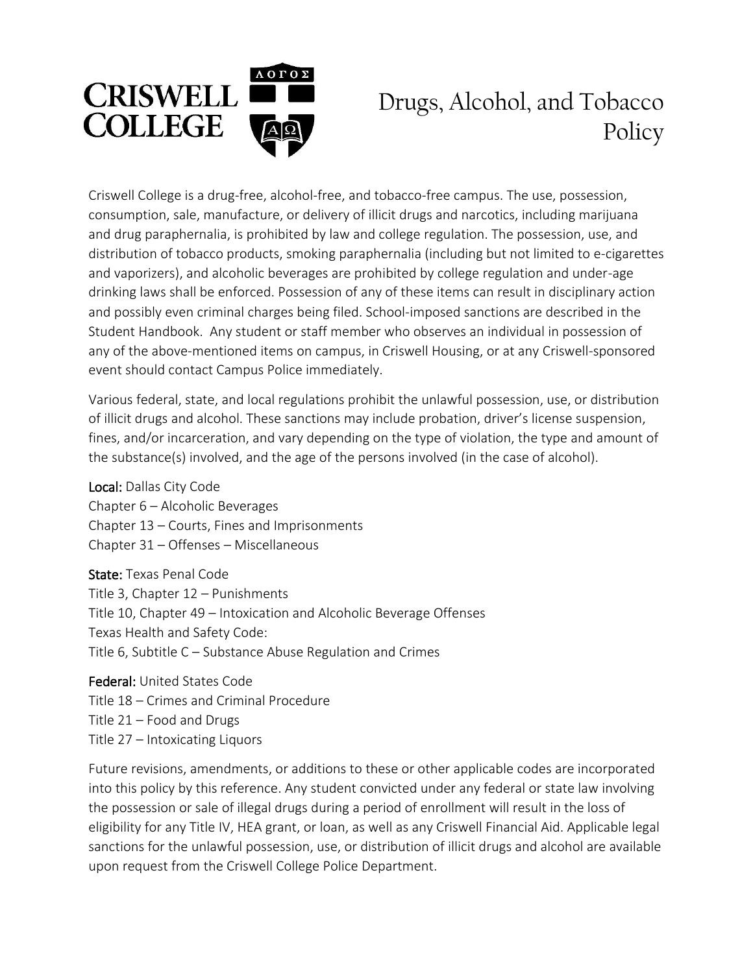

## Drugs, Alcohol, and Tobacco Policy

Criswell College is a drug-free, alcohol-free, and tobacco-free campus. The use, possession, consumption, sale, manufacture, or delivery of illicit drugs and narcotics, including marijuana and drug paraphernalia, is prohibited by law and college regulation. The possession, use, and distribution of tobacco products, smoking paraphernalia (including but not limited to e-cigarettes and vaporizers), and alcoholic beverages are prohibited by college regulation and under-age drinking laws shall be enforced. Possession of any of these items can result in disciplinary action and possibly even criminal charges being filed. School-imposed sanctions are described in the Student Handbook. Any student or staff member who observes an individual in possession of any of the above-mentioned items on campus, in Criswell Housing, or at any Criswell-sponsored event should contact Campus Police immediately.

Various federal, state, and local regulations prohibit the unlawful possession, use, or distribution of illicit drugs and alcohol. These sanctions may include probation, driver's license suspension, fines, and/or incarceration, and vary depending on the type of violation, the type and amount of the substance(s) involved, and the age of the persons involved (in the case of alcohol).

Local: Dallas City Code Chapter 6 – Alcoholic Beverages Chapter 13 – Courts, Fines and Imprisonments Chapter 31 – Offenses – Miscellaneous

State: Texas Penal Code Title 3, Chapter 12 – Punishments Title 10, Chapter 49 – Intoxication and Alcoholic Beverage Offenses Texas Health and Safety Code: Title 6, Subtitle C – Substance Abuse Regulation and Crimes

Federal: United States Code Title 18 – Crimes and Criminal Procedure Title 21 – Food and Drugs Title 27 – Intoxicating Liquors

Future revisions, amendments, or additions to these or other applicable codes are incorporated into this policy by this reference. Any student convicted under any federal or state law involving the possession or sale of illegal drugs during a period of enrollment will result in the loss of eligibility for any Title IV, HEA grant, or loan, as well as any Criswell Financial Aid. Applicable legal sanctions for the unlawful possession, use, or distribution of illicit drugs and alcohol are available upon request from the Criswell College Police Department.